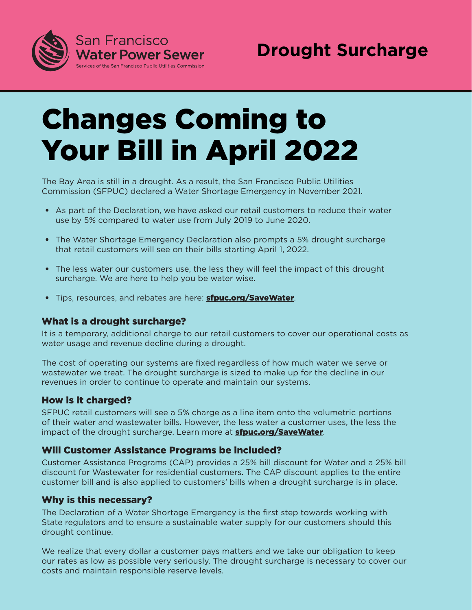

# Changes Coming to Your Bill in April 2022

The Bay Area is still in a drought. As a result, the San Francisco Public Utilities Commission (SFPUC) declared a Water Shortage Emergency in November 2021.

- As part of the Declaration, we have asked our retail customers to reduce their water use by 5% compared to water use from July 2019 to June 2020.
- The Water Shortage Emergency Declaration also prompts a 5% drought surcharge that retail customers will see on their bills starting April 1, 2022.
- The less water our customers use, the less they will feel the impact of this drought surcharge. We are here to help you be water wise.
- Tips, resources, and rebates are here: **[sfpuc.org/SaveWater](www.sfpuc.org/SaveWater)**.

#### What is a drought surcharge?

It is a temporary, additional charge to our retail customers to cover our operational costs as water usage and revenue decline during a drought.

The cost of operating our systems are fixed regardless of how much water we serve or wastewater we treat. The drought surcharge is sized to make up for the decline in our revenues in order to continue to operate and maintain our systems.

#### How is it charged?

SFPUC retail customers will see a 5% charge as a line item onto the volumetric portions of their water and wastewater bills. However, the less water a customer uses, the less the impact of the drought surcharge. Learn more at **[sfpuc.org/SaveWater](www.sfpuc.org/SaveWater)**.

#### Will Customer Assistance Programs be included?

Customer Assistance Programs (CAP) provides a 25% bill discount for Water and a 25% bill discount for Wastewater for residential customers. The CAP discount applies to the entire customer bill and is also applied to customers' bills when a drought surcharge is in place.

#### Why is this necessary?

The Declaration of a Water Shortage Emergency is the first step towards working with State regulators and to ensure a sustainable water supply for our customers should this drought continue.

We realize that every dollar a customer pays matters and we take our obligation to keep our rates as low as possible very seriously. The drought surcharge is necessary to cover our costs and maintain responsible reserve levels.